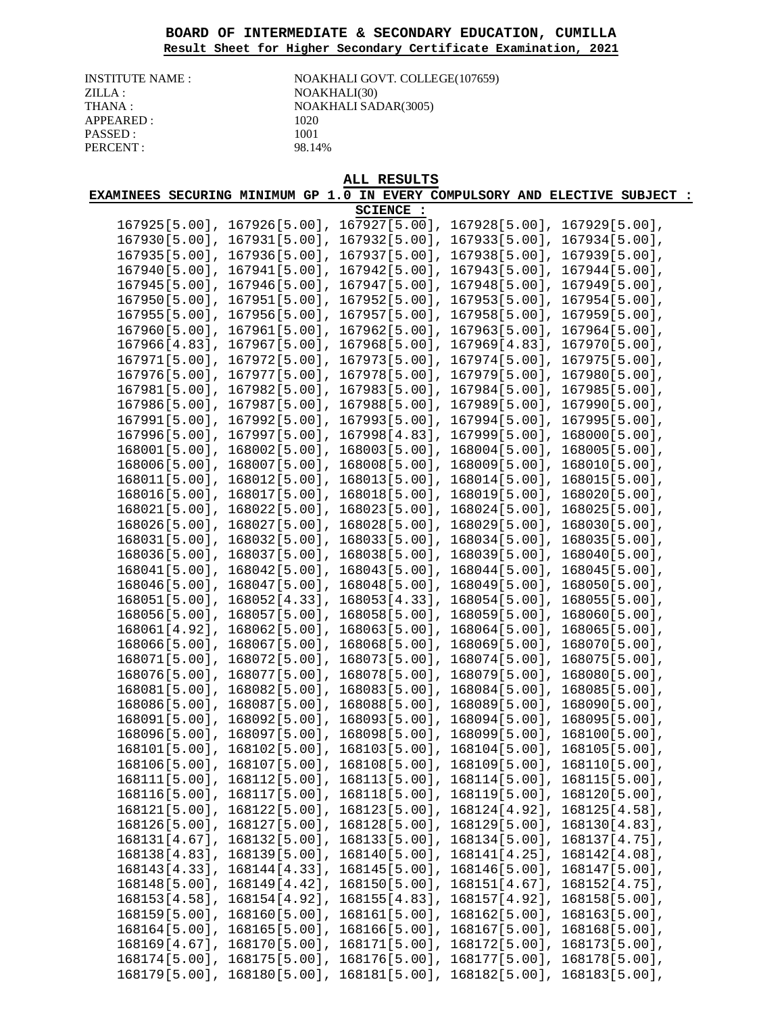## **BOARD OF INTERMEDIATE & SECONDARY EDUCATION, CUMILLA Result Sheet for Higher Secondary Certificate Examination, 2021**

| INSTITUTE NAME  |
|-----------------|
| ZILLA :         |
| THANA :         |
| APPEARED :      |
| <b>PASSED :</b> |
| PERCENT :       |

I: NOAKHALI GOVT. COLLEGE(107659) NOAKHALI(30) NOAKHALI SADAR(3005) 1020 1001 98.14%

|                                |                                                                                      | ALL RESULTS                       |                                   |                                                                              |
|--------------------------------|--------------------------------------------------------------------------------------|-----------------------------------|-----------------------------------|------------------------------------------------------------------------------|
|                                |                                                                                      |                                   |                                   | EXAMINEES SECURING MINIMUM GP 1.0 IN EVERY COMPULSORY AND ELECTIVE SUBJECT : |
|                                |                                                                                      | SCIENCE :                         |                                   |                                                                              |
| 167925[5.00],                  | 167926[5.00],                                                                        | 167927[5.00],                     | 167928[5.00],                     | 167929[5.00],                                                                |
| 167930[5.00],                  | 167931[5.00],                                                                        | 167932[5.00],                     | 167933[5.00],                     | 167934[5.00],                                                                |
| $167935[5.00]$ ,               | $167936[5.00]$ ,                                                                     | $167937[5.00]$ ,                  | $167938[5.00]$ ,                  | 167939[5.00],                                                                |
| $167940[5.00]$ ,               | $167941[5.00]$ ,                                                                     | 167942[5.00],                     | 167943[5.00],                     | 167944[5.00],                                                                |
| 167945[5.00],                  | 167946[5.00],                                                                        | 167947[5.00],                     | 167948[5.00],                     | 167949[5.00],                                                                |
| 167950[5.00],                  | $167951[5.00]$ ,                                                                     | 167952[5.00],                     | 167953[5.00],                     | 167954[5.00],                                                                |
| $167955[5.00]$ ,               | $167956[5.00]$ ,                                                                     | $167957[5.00]$ ,                  | $167958[5.00]$ ,                  | $167959[5.00]$ ,                                                             |
| $167960[5.00]$ ,               | $167961[5.00]$ ,                                                                     | 167962[5.00],                     | $167963[5.00]$ ,                  | $167964[5.00]$ ,                                                             |
| $167966[4.83]$ ,               | 167967[5.00],                                                                        | $167968[5.00]$ ,                  | $167969[4.83]$ ,                  | 167970[5.00],                                                                |
| 167971[5.00],                  | 167972[5.00],                                                                        | 167973[5.00],                     | 167974[5.00],                     | 167975[5.00],                                                                |
| 167976[5.00],                  | 167977[5.00],                                                                        | 167978[5.00],                     | 167979[5.00],                     | 167980[5.00],                                                                |
| 167981[5.00],                  | 167982[5.00],                                                                        | 167983[5.00],                     | 167984[5.00],                     | 167985[5.00],                                                                |
| 167986[5.00],                  | 167987[5.00],                                                                        | 167988[5.00],                     | 167989[5.00],                     | 167990[5.00],                                                                |
| 167991[5.00],                  | 167992[5.00],                                                                        | $167993[5.00]$ ,                  | 167994[5.00],                     | 167995[5.00],                                                                |
| $167996[5.00]$ ,               | $167997[5.00]$ ,                                                                     | $167998[4.83]$ ,                  | 167999[5.00],                     | 168000[5.00],                                                                |
| 168001[5.00],                  | 168002[5.00],                                                                        | 168003[5.00],                     | 168004[5.00],                     | 168005[5.00],                                                                |
| 168006[5.00],                  | 168007[5.00],                                                                        | 168008[5.00],                     | 168009[5.00],                     | 168010[5.00],                                                                |
| 168011[5.00],                  | 168012[5.00],                                                                        | 168013[5.00],                     | 168014[5.00],                     | 168015[5.00],                                                                |
| 168016[5.00],                  | 168017[5.00],                                                                        | 168018[5.00],                     | 168019[5.00],                     | 168020[5.00],                                                                |
| 168021[5.00],                  | 168022[5.00],                                                                        | 168023[5.00],                     | 168024[5.00],                     | 168025[5.00],                                                                |
| $168026[5.00]$ ,               | 168027[5.00],                                                                        | 168028[5.00],                     | 168029[5.00],                     | 168030[5.00],                                                                |
| 168031[5.00],                  | 168032[5.00],                                                                        | 168033[5.00],                     | 168034[5.00],                     | 168035[5.00],                                                                |
| 168036[5.00],                  | 168037[5.00],                                                                        | 168038[5.00],                     | 168039[5.00],                     | 168040[5.00],                                                                |
| 168041[5.00],<br>168046[5.00], | 168042[5.00],<br>$168047[5.00]$ ,                                                    | $168043[5.00]$ ,<br>168048[5.00], | $168044[5.00]$ ,<br>168049[5.00], | 168045[5.00],<br>168050[5.00],                                               |
| 168051[5.00],                  | 168052[4.33],                                                                        | 168053[4.33],                     | 168054[5.00],                     | 168055[5.00],                                                                |
| 168056[5.00],                  | 168057[5.00],                                                                        | 168058[5.00],                     | 168059[5.00],                     | 168060[5.00],                                                                |
| $168061[4.92]$ ,               | 168062[5.00],                                                                        | 168063[5.00],                     | 168064[5.00],                     | 168065[5.00],                                                                |
| 168066[5.00],                  | 168067[5.00],                                                                        | 168068[5.00],                     | 168069[5.00],                     | 168070[5.00],                                                                |
| 168071[5.00],                  | $168072[5.00]$ ,                                                                     | 168073[5.00],                     | 168074[5.00],                     | 168075[5.00],                                                                |
| 168076[5.00],                  | 168077[5.00],                                                                        | 168078[5.00],                     | 168079[5.00],                     | 168080[5.00],                                                                |
| 168081[5.00],                  | 168082[5.00],                                                                        | 168083[5.00],                     | 168084[5.00],                     | 168085[5.00],                                                                |
| 168086[5.00],                  | 168087[5.00],                                                                        | 168088[5.00],                     | 168089[5.00],                     | 168090[5.00],                                                                |
| 168091[5.00],                  | 168092[5.00],                                                                        | 168093[5.00],                     | 168094[5.00],                     | 168095[5.00],                                                                |
|                                | 168096[5.00], 168097[5.00], 168098[5.00], 168099[5.00], 168100[5.00],                |                                   |                                   |                                                                              |
|                                | $168101[5.00]$ , $168102[5.00]$ , $168103[5.00]$ , $168104[5.00]$ , $168105[5.00]$ , |                                   |                                   |                                                                              |
|                                | 168106[5.00], 168107[5.00], 168108[5.00], 168109[5.00], 168110[5.00],                |                                   |                                   |                                                                              |
|                                | $168111[5.00]$ , $168112[5.00]$ , $168113[5.00]$ , $168114[5.00]$ , $168115[5.00]$ , |                                   |                                   |                                                                              |
|                                | $168116[5.00]$ , $168117[5.00]$ , $168118[5.00]$ , $168119[5.00]$ ,                  |                                   |                                   | 168120[5.00],                                                                |
|                                | $168121[5.00], 168122[5.00], 168123[5.00], 168124[4.92],$                            |                                   |                                   | 168125[4.58],                                                                |
|                                | $168126[5.00]$ , $168127[5.00]$ , $168128[5.00]$ , $168129[5.00]$ ,                  |                                   |                                   | 168130[4.83],                                                                |
|                                | $168131[4.67]$ , $168132[5.00]$ , $168133[5.00]$ , $168134[5.00]$ ,                  |                                   |                                   | 168137[4.75],                                                                |
|                                | $168138[4.83]$ , $168139[5.00]$ , $168140[5.00]$ , $168141[4.25]$ ,                  |                                   |                                   | 168142[4.08],                                                                |
|                                | $168143[4.33]$ , $168144[4.33]$ , $168145[5.00]$ , $168146[5.00]$ ,                  |                                   |                                   | 168147[5.00],                                                                |
|                                | $168148[5.00]$ , $168149[4.42]$ ,                                                    | 168150[5.00], 168151[4.67],       |                                   | 168152[4.75],                                                                |
|                                | $168153[4.58]$ , $168154[4.92]$ ,                                                    | 168155[4.83], 168157[4.92],       |                                   | 168158[5.00],                                                                |
|                                | $168159[5.00]$ , $168160[5.00]$ , $168161[5.00]$ , $168162[5.00]$ ,                  |                                   |                                   | 168163[5.00],                                                                |
|                                | $168164[5.00]$ , $168165[5.00]$ , $168166[5.00]$ , $168167[5.00]$ ,                  |                                   |                                   | 168168[5.00],                                                                |
|                                | $168169[4.67]$ , $168170[5.00]$ , $168171[5.00]$ , $168172[5.00]$ , $168173[5.00]$ , |                                   |                                   |                                                                              |

168174[5.00], 168175[5.00], 168176[5.00], 168177[5.00], 168178[5.00], 168179[5.00], 168180[5.00], 168181[5.00], 168182[5.00], 168183[5.00],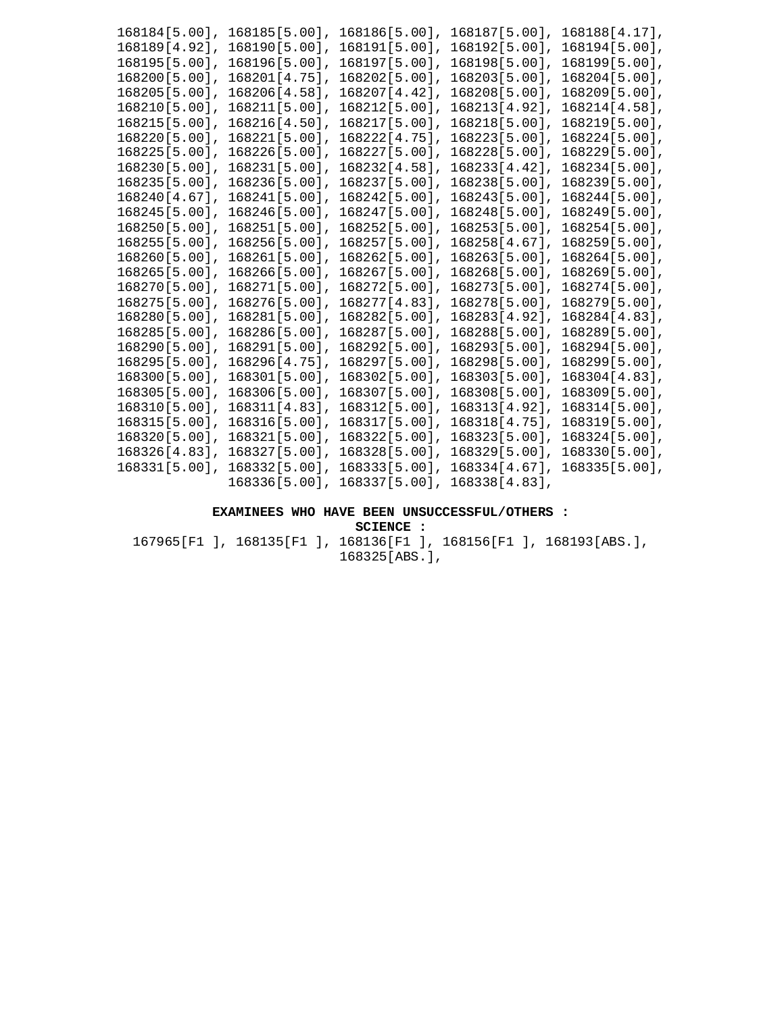| 168184[5.00],    | 168185[5.00],    | 168186[5.00],    | 168187[5.00],    | 168188[4.17],    |
|------------------|------------------|------------------|------------------|------------------|
| 168189[4.92],    | $168190[5.00]$ , | $168191[5.00]$ , | 168192[5.00]     | $168194[5.00]$ , |
| $168195[5.00]$ , | 168196[5.00],    | $168197[5.00]$ , | 16819815.001.    | $168199[5.00]$ , |
| $168200[5.00]$ , | 168201[4.75],    | $168202[5.00]$ , | 168203[5.00]     | $168204[5.00]$ , |
| $168205[5.00]$ , | $168206[4.58]$ , | $168207[4.42]$ , | 168208[5.00]     | 168209[5.00]     |
| $168210[5.00]$ , | $168211[5.00]$ , | $168212[5.00]$ , | 168213[4.92]     | $168214[4.58]$ , |
| $168215[5.00]$ , | $168216[4.50]$ , | $168217[5.00]$ , | $168218[5.00]$ , | 168219[5.00]     |
| $168220[5.00]$ , | 168221[5.00],    | 16822214.751,    | $168223$ [5.00], | $168224$ [5.00], |
| $168225[5.00]$ , | 168226[5.00],    | 168227[5.00],    | 168228[5.00],    | 168229[5.00],    |
| $168230[5.00]$ , | 168231[5.00],    | $168232[4.58]$ , | $168233[4.42]$ , | $168234[5.00]$ , |
| $168235[5.00]$ , | $168236[5.00]$ , | $168237[5.00]$ , | 168238[5.00],    | $168239[5.00]$ , |
| 168240 [4.67],   | 168241[5.00],    | 168242[5.00],    | 168243[5.00],    | 168244[5.00],    |
| $168245[5.00]$ , | 168246[5.00],    | 168247[5.00],    | $168248[5.00]$ , | $168249[5.00]$ , |
| $168250[5.00]$ , | $168251[5.00]$ , | $168252[5.00]$ , | $168253[5.00]$ , | 168254[5.00],    |
| $168255[5.00]$ , | $168256[5.00]$ , | $168257[5.00]$ , | $168258[4.67]$ , | $168259[5.00]$ , |
| $168260[5.00]$ , | $168261[5.00]$ , | $168262[5.00]$ , | $168263[5.00]$ , | $168264[5.00]$ , |
| $168265$ [5.00], | $168266[5.00]$ , | $168267[5.00]$ , | $168268[5.00]$ , | 168269[5.00]     |
| $168270[5.00]$ , | 168271[5.00],    | $168272[5.00]$ , | $168273[5.00]$ , | 168274[5.00],    |
| $168275[5.00]$ , | $168276[5.00]$ , | $168277[4.83]$ , | $168278[5.00]$ , | 168279[5.00],    |
| $168280[5.00]$ , | $168281[5.00]$ , | $168282[5.00]$ , | 168283[4.92],    | 168284[4.83],    |
| $168285[5.00]$ , | 168286[5.00],    | 168287[5.00],    | $168288[5.00]$ , | 168289[5.00],    |
| $168290[5.00]$ , | $168291[5.00]$ , | $168292$ [5.00], | $168293[5.00]$ , | $168294[5.00]$ , |
| $168295[5.00]$ , | 168296[4.75],    | 168297[5.00],    | 168298[5.00],    | 168299[5.00],    |
| $168300[5.00]$ , | $168301$ [5.00], | $168302$ [5.00], | $168303[5.00]$ , | $168304[4.83]$ , |
| $168305[5.00]$ , | $168306[5.00]$ , | $168307[5.00]$ , | $168308[5.00]$ , | 168309[5.00]     |
| $168310[5.00]$ , | 168311[4.83],    | $168312[5.00]$ , | $168313[4.92]$ , | $168314[5.00]$ , |
| $168315[5.00]$ , | $168316[5.00]$ , | $168317[5.00]$ , | $168318[4.75]$ , | 168319[5.00]     |
| $168320[5.00]$ , | $168321[5.00]$ , | 168322[5.00],    | 168323[5.00],    | 168324[5.00],    |
| $168326[4.83]$ , | $168327[5.00]$ , | $168328[5.00]$ , | 168329[5.00]     | 168330[5.00]     |
| $168331[5.00]$ , | 168332[5.00]     | $168333[5.00]$ , | $168334[4.67]$ , | $168335[5.00]$ , |
|                  | $168336[5.00]$ , | $168337[5.00]$ , | 168338[4.83]     |                  |

## **EXAMINEES WHO HAVE BEEN UNSUCCESSFUL/OTHERS :**

**SCIENCE :** 

167965[F1 ], 168135[F1 ], 168136[F1 ], 168156[F1 ], 168193[ABS.], 168325[ABS.],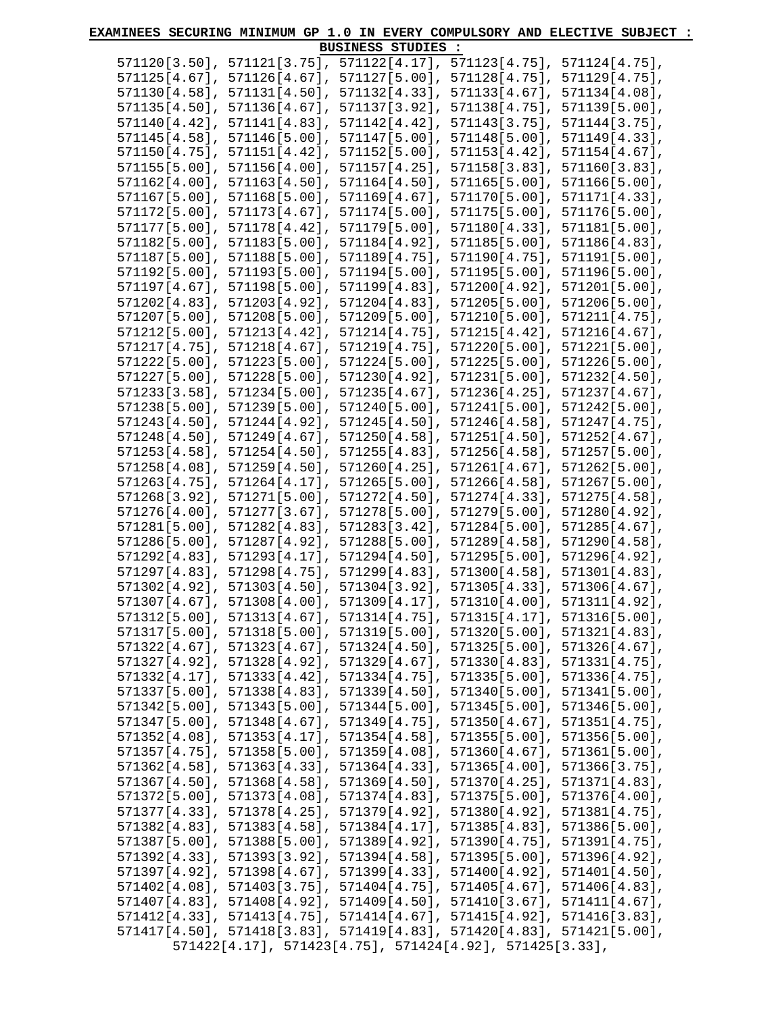| <b>BUSINESS STUDIES :</b><br>571121[3.75], 571122[4.17],<br>571123[4.75],<br>571124[4.75],<br>$571120[3.50]$ ,<br>$571125[4.67]$ ,<br>571126[4.67], 571127[5.00],<br>571128[4.75],<br>571129[4.75],<br>$571130[4.58]$ ,<br>571131[4.50], 571132[4.33],<br>$571133[4.67]$ ,<br>571134[4.08],<br>$571135[4.50]$ ,<br>571136[4.67], 571137[3.92],<br>$571138[4.75]$ ,<br>571139[5.00],<br>571141[4.83], 571142[4.42], 571143[3.75], 571144[3.75],<br>$571140[4.42]$ ,<br>571145[4.58], 571146[5.00], 571147[5.00], 571148[5.00], 571149[4.33],<br>$571150[4.75]$ ,<br>571151[4.42], 571152[5.00], 571153[4.42], 571154[4.67],<br>571155[5.00],<br>571156[4.00], 571157[4.25], 571158[3.83],<br>571160[3.83],<br>571162[4.00],<br>571163[4.50], 571164[4.50], 571165[5.00],<br>571166[5.00],<br>571167[5.00],<br>$571168[5.00], 571169[4.67], 571170[5.00],$<br>571171[4.33],<br>$571172[5.00]$ ,<br>$571174[5.00]$ ,<br>571175[5.00],<br>571176[5.00],<br>$571173[4.67]$ ,<br>571177[5.00],<br>$571178[4.42]$ ,<br>571180[4.33],<br>571181[5.00],<br>571179[5.00],<br>$571182[5.00]$ ,<br>$571183[5.00]$ ,<br>$571184[4.92]$ ,<br>571185[5.00],<br>571186[4.83],<br>$571187[5.00]$ ,<br>$571188[5.00]$ ,<br>571189[4.75],<br>$571190[4.75]$ ,<br>571191[5.00],<br>571192[5.00],<br>571193[5.00], 571194[5.00],<br>571195[5.00], 571196[5.00],<br>571198[5.00], 571199[4.83],<br>571200[4.92], 571201[5.00],<br>$571197[4.67]$ ,<br>$571202[4.83]$ ,<br>571203[4.92],<br>$571204[4.83]$ ,<br>571205[5.00], 571206[5.00],<br>571207[5.00],<br>571208[5.00],<br>571209[5.00],<br>571210[5.00], 571211[4.75],<br>571212[5.00],<br>571213[4.42],<br>$571214[4.75]$ ,<br>571215[4.42],<br>571216[4.67],<br>571217[4.75],<br>571218[4.67],<br>$571219[4.75]$ ,<br>571220[5.00],<br>571221[5.00],<br>571222[5.00],<br>571223[5.00],<br>571224[5.00],<br>571225[5.00],<br>571226[5.00],<br>$571228[5.00]$ ,<br>571231[5.00],<br>571232[4.50],<br>$571227[5.00]$ ,<br>$571230[4.92]$ ,<br>571236[4.25],<br>$571233[3.58]$ ,<br>571234[5.00],<br>$571235[4.67]$ ,<br>$571237[4.67]$ ,<br>571238[5.00],<br>571239[5.00],<br>571240[5.00],<br>571241[5.00],<br>571242[5.00],<br>571243[4.50],<br>$571244[4.92]$ ,<br>571245[4.50], 571246[4.58],<br>571247[4.75],<br>571248[4.50],<br>$571249[4.67]$ ,<br>$571250[4.58], 571251[4.50], 571252[4.67],$<br>571257[5.00],<br>$571253[4.58]$ ,<br>571254[4.50], 571255[4.83], 571256[4.58],<br>571259[4.50], 571260[4.25], 571261[4.67],<br>571262[5.00],<br>571258[4.08],<br>571267[5.00],<br>$571263[4.75]$ ,<br>571264[4.17], 571265[5.00], 571266[4.58],<br>$571268[3.92]$ ,<br>571271[5.00], 571272[4.50],<br>$571274[4.33]$ ,<br>571275[4.58],<br>$571276[4.00]$ ,<br>571277[3.67], 571278[5.00], 571279[5.00],<br>571280[4.92],<br>571281[5.00],<br>571282[4.83], 571283[3.42], 571284[5.00], 571285[4.67],<br>$571286[5.00]$ ,<br>571287[4.92], 571288[5.00], 571289[4.58], 571290[4.58],<br>571293[4.17], 571294[4.50], 571295[5.00], 571296[4.92],<br>571292[4.83],<br>571298[4.75], 571299[4.83], 571300[4.58], 571301[4.83],<br>$571297[4.83]$ ,<br>$571302[4.92]$ ,<br>$571303[4.50]$ , $571304[3.92]$ , $571305[4.33]$ , $571306[4.67]$ ,<br>$571307[4.67]$ , $571308[4.00]$ , $571309[4.17]$ , $571310[4.00]$ , $571311[4.92]$ ,<br>$571312[5.00]$ , $571313[4.67]$ , $571314[4.75]$ , $571315[4.17]$ , $571316[5.00]$ ,<br>$571317[5.00]$ , $571318[5.00]$ , $571319[5.00]$ , $571320[5.00]$ , $571321[4.83]$ ,<br>$571322[4.67]$ , $571323[4.67]$ , $571324[4.50]$ , $571325[5.00]$ , $571326[4.67]$ ,<br>$571327[4.92]$ , $571328[4.92]$ , $571329[4.67]$ , $571330[4.83]$ , $571331[4.75]$ ,<br>$571332[4.17]$ , $571333[4.42]$ , $571334[4.75]$ , $571335[5.00]$ , $571336[4.75]$ ,<br>571337[5.00], 571338[4.83], 571339[4.50], 571340[5.00], 571341[5.00],<br>571342[5.00], 571343[5.00], 571344[5.00], 571345[5.00], 571346[5.00],<br>$571347[5.00]$ , $571348[4.67]$ , $571349[4.75]$ , $571350[4.67]$ , $571351[4.75]$ ,<br>571352[4.08], 571353[4.17], 571354[4.58], 571355[5.00], 571356[5.00],<br>571357[4.75], 571358[5.00], 571359[4.08], 571360[4.67], 571361[5.00],<br>571362[4.58], 571363[4.33], 571364[4.33], 571365[4.00], 571366[3.75],<br>$571367[4.50]$ , $571368[4.58]$ , $571369[4.50]$ , $571370[4.25]$ , $571371[4.83]$ ,<br>571372[5.00], 571373[4.08], 571374[4.83], 571375[5.00], 571376[4.00],<br>571377[4.33], 571378[4.25], 571379[4.92], 571380[4.92], 571381[4.75],<br>571382[4.83], 571383[4.58], 571384[4.17], 571385[4.83], 571386[5.00],<br>571387[5.00], 571388[5.00], 571389[4.92], 571390[4.75], 571391[4.75],<br>571392[4.33], 571393[3.92], 571394[4.58], 571395[5.00], 571396[4.92],<br>571397[4.92], 571398[4.67], 571399[4.33], 571400[4.92], 571401[4.50],<br>$571402[4.08]$ , $571403[3.75]$ , $571404[4.75]$ , $571405[4.67]$ , $571406[4.83]$ ,<br>$571407[4.83]$ , $571408[4.92]$ , $571409[4.50]$ , $571410[3.67]$ , $571411[4.67]$ ,<br>$571412[4.33]$ , $571413[4.75]$ , $571414[4.67]$ , $571415[4.92]$ , $571416[3.83]$ ,<br>$571417[4.50]$ , $571418[3.83]$ , $571419[4.83]$ , $571420[4.83]$ , $571421[5.00]$ ,<br>571422[4.17], 571423[4.75], 571424[4.92], 571425[3.33], | EXAMINEES SECURING MINIMUM GP 1.0 IN EVERY COMPULSORY AND ELECTIVE SUBJECT |  |  |  |  |  |  |
|-----------------------------------------------------------------------------------------------------------------------------------------------------------------------------------------------------------------------------------------------------------------------------------------------------------------------------------------------------------------------------------------------------------------------------------------------------------------------------------------------------------------------------------------------------------------------------------------------------------------------------------------------------------------------------------------------------------------------------------------------------------------------------------------------------------------------------------------------------------------------------------------------------------------------------------------------------------------------------------------------------------------------------------------------------------------------------------------------------------------------------------------------------------------------------------------------------------------------------------------------------------------------------------------------------------------------------------------------------------------------------------------------------------------------------------------------------------------------------------------------------------------------------------------------------------------------------------------------------------------------------------------------------------------------------------------------------------------------------------------------------------------------------------------------------------------------------------------------------------------------------------------------------------------------------------------------------------------------------------------------------------------------------------------------------------------------------------------------------------------------------------------------------------------------------------------------------------------------------------------------------------------------------------------------------------------------------------------------------------------------------------------------------------------------------------------------------------------------------------------------------------------------------------------------------------------------------------------------------------------------------------------------------------------------------------------------------------------------------------------------------------------------------------------------------------------------------------------------------------------------------------------------------------------------------------------------------------------------------------------------------------------------------------------------------------------------------------------------------------------------------------------------------------------------------------------------------------------------------------------------------------------------------------------------------------------------------------------------------------------------------------------------------------------------------------------------------------------------------------------------------------------------------------------------------------------------------------------------------------------------------------------------------------------------------------------------------------------------------------------------------------------------------------------------------------------------------------------------------------------------------------------------------------------------------------------------------------------------------------------------------------------------------------------------------------------------------------------------------------------------------------------------------------------------------------------------------------------------------------------------------------------------------------------------------------------------------------------------------------------------------------------------------------------------------------------------------------------------------------------------------------------------------------------------------------------------------------------------------------------------------------------------------------------------------------------------------------------------------------------------------------------------------------------------------------------------------------------------------------------------------------------------------------------------------------------------------------------------------------------------------------------------------------------------------------------------------------------------------------------------------------------------------------------------------------|----------------------------------------------------------------------------|--|--|--|--|--|--|
|                                                                                                                                                                                                                                                                                                                                                                                                                                                                                                                                                                                                                                                                                                                                                                                                                                                                                                                                                                                                                                                                                                                                                                                                                                                                                                                                                                                                                                                                                                                                                                                                                                                                                                                                                                                                                                                                                                                                                                                                                                                                                                                                                                                                                                                                                                                                                                                                                                                                                                                                                                                                                                                                                                                                                                                                                                                                                                                                                                                                                                                                                                                                                                                                                                                                                                                                                                                                                                                                                                                                                                                                                                                                                                                                                                                                                                                                                                                                                                                                                                                                                                                                                                                                                                                                                                                                                                                                                                                                                                                                                                                                                                                                                                                                                                                                                                                                                                                                                                                                                                                                                                                                                                                   |                                                                            |  |  |  |  |  |  |
|                                                                                                                                                                                                                                                                                                                                                                                                                                                                                                                                                                                                                                                                                                                                                                                                                                                                                                                                                                                                                                                                                                                                                                                                                                                                                                                                                                                                                                                                                                                                                                                                                                                                                                                                                                                                                                                                                                                                                                                                                                                                                                                                                                                                                                                                                                                                                                                                                                                                                                                                                                                                                                                                                                                                                                                                                                                                                                                                                                                                                                                                                                                                                                                                                                                                                                                                                                                                                                                                                                                                                                                                                                                                                                                                                                                                                                                                                                                                                                                                                                                                                                                                                                                                                                                                                                                                                                                                                                                                                                                                                                                                                                                                                                                                                                                                                                                                                                                                                                                                                                                                                                                                                                                   |                                                                            |  |  |  |  |  |  |
|                                                                                                                                                                                                                                                                                                                                                                                                                                                                                                                                                                                                                                                                                                                                                                                                                                                                                                                                                                                                                                                                                                                                                                                                                                                                                                                                                                                                                                                                                                                                                                                                                                                                                                                                                                                                                                                                                                                                                                                                                                                                                                                                                                                                                                                                                                                                                                                                                                                                                                                                                                                                                                                                                                                                                                                                                                                                                                                                                                                                                                                                                                                                                                                                                                                                                                                                                                                                                                                                                                                                                                                                                                                                                                                                                                                                                                                                                                                                                                                                                                                                                                                                                                                                                                                                                                                                                                                                                                                                                                                                                                                                                                                                                                                                                                                                                                                                                                                                                                                                                                                                                                                                                                                   |                                                                            |  |  |  |  |  |  |
|                                                                                                                                                                                                                                                                                                                                                                                                                                                                                                                                                                                                                                                                                                                                                                                                                                                                                                                                                                                                                                                                                                                                                                                                                                                                                                                                                                                                                                                                                                                                                                                                                                                                                                                                                                                                                                                                                                                                                                                                                                                                                                                                                                                                                                                                                                                                                                                                                                                                                                                                                                                                                                                                                                                                                                                                                                                                                                                                                                                                                                                                                                                                                                                                                                                                                                                                                                                                                                                                                                                                                                                                                                                                                                                                                                                                                                                                                                                                                                                                                                                                                                                                                                                                                                                                                                                                                                                                                                                                                                                                                                                                                                                                                                                                                                                                                                                                                                                                                                                                                                                                                                                                                                                   |                                                                            |  |  |  |  |  |  |
|                                                                                                                                                                                                                                                                                                                                                                                                                                                                                                                                                                                                                                                                                                                                                                                                                                                                                                                                                                                                                                                                                                                                                                                                                                                                                                                                                                                                                                                                                                                                                                                                                                                                                                                                                                                                                                                                                                                                                                                                                                                                                                                                                                                                                                                                                                                                                                                                                                                                                                                                                                                                                                                                                                                                                                                                                                                                                                                                                                                                                                                                                                                                                                                                                                                                                                                                                                                                                                                                                                                                                                                                                                                                                                                                                                                                                                                                                                                                                                                                                                                                                                                                                                                                                                                                                                                                                                                                                                                                                                                                                                                                                                                                                                                                                                                                                                                                                                                                                                                                                                                                                                                                                                                   |                                                                            |  |  |  |  |  |  |
|                                                                                                                                                                                                                                                                                                                                                                                                                                                                                                                                                                                                                                                                                                                                                                                                                                                                                                                                                                                                                                                                                                                                                                                                                                                                                                                                                                                                                                                                                                                                                                                                                                                                                                                                                                                                                                                                                                                                                                                                                                                                                                                                                                                                                                                                                                                                                                                                                                                                                                                                                                                                                                                                                                                                                                                                                                                                                                                                                                                                                                                                                                                                                                                                                                                                                                                                                                                                                                                                                                                                                                                                                                                                                                                                                                                                                                                                                                                                                                                                                                                                                                                                                                                                                                                                                                                                                                                                                                                                                                                                                                                                                                                                                                                                                                                                                                                                                                                                                                                                                                                                                                                                                                                   |                                                                            |  |  |  |  |  |  |
|                                                                                                                                                                                                                                                                                                                                                                                                                                                                                                                                                                                                                                                                                                                                                                                                                                                                                                                                                                                                                                                                                                                                                                                                                                                                                                                                                                                                                                                                                                                                                                                                                                                                                                                                                                                                                                                                                                                                                                                                                                                                                                                                                                                                                                                                                                                                                                                                                                                                                                                                                                                                                                                                                                                                                                                                                                                                                                                                                                                                                                                                                                                                                                                                                                                                                                                                                                                                                                                                                                                                                                                                                                                                                                                                                                                                                                                                                                                                                                                                                                                                                                                                                                                                                                                                                                                                                                                                                                                                                                                                                                                                                                                                                                                                                                                                                                                                                                                                                                                                                                                                                                                                                                                   |                                                                            |  |  |  |  |  |  |
|                                                                                                                                                                                                                                                                                                                                                                                                                                                                                                                                                                                                                                                                                                                                                                                                                                                                                                                                                                                                                                                                                                                                                                                                                                                                                                                                                                                                                                                                                                                                                                                                                                                                                                                                                                                                                                                                                                                                                                                                                                                                                                                                                                                                                                                                                                                                                                                                                                                                                                                                                                                                                                                                                                                                                                                                                                                                                                                                                                                                                                                                                                                                                                                                                                                                                                                                                                                                                                                                                                                                                                                                                                                                                                                                                                                                                                                                                                                                                                                                                                                                                                                                                                                                                                                                                                                                                                                                                                                                                                                                                                                                                                                                                                                                                                                                                                                                                                                                                                                                                                                                                                                                                                                   |                                                                            |  |  |  |  |  |  |
|                                                                                                                                                                                                                                                                                                                                                                                                                                                                                                                                                                                                                                                                                                                                                                                                                                                                                                                                                                                                                                                                                                                                                                                                                                                                                                                                                                                                                                                                                                                                                                                                                                                                                                                                                                                                                                                                                                                                                                                                                                                                                                                                                                                                                                                                                                                                                                                                                                                                                                                                                                                                                                                                                                                                                                                                                                                                                                                                                                                                                                                                                                                                                                                                                                                                                                                                                                                                                                                                                                                                                                                                                                                                                                                                                                                                                                                                                                                                                                                                                                                                                                                                                                                                                                                                                                                                                                                                                                                                                                                                                                                                                                                                                                                                                                                                                                                                                                                                                                                                                                                                                                                                                                                   |                                                                            |  |  |  |  |  |  |
|                                                                                                                                                                                                                                                                                                                                                                                                                                                                                                                                                                                                                                                                                                                                                                                                                                                                                                                                                                                                                                                                                                                                                                                                                                                                                                                                                                                                                                                                                                                                                                                                                                                                                                                                                                                                                                                                                                                                                                                                                                                                                                                                                                                                                                                                                                                                                                                                                                                                                                                                                                                                                                                                                                                                                                                                                                                                                                                                                                                                                                                                                                                                                                                                                                                                                                                                                                                                                                                                                                                                                                                                                                                                                                                                                                                                                                                                                                                                                                                                                                                                                                                                                                                                                                                                                                                                                                                                                                                                                                                                                                                                                                                                                                                                                                                                                                                                                                                                                                                                                                                                                                                                                                                   |                                                                            |  |  |  |  |  |  |
|                                                                                                                                                                                                                                                                                                                                                                                                                                                                                                                                                                                                                                                                                                                                                                                                                                                                                                                                                                                                                                                                                                                                                                                                                                                                                                                                                                                                                                                                                                                                                                                                                                                                                                                                                                                                                                                                                                                                                                                                                                                                                                                                                                                                                                                                                                                                                                                                                                                                                                                                                                                                                                                                                                                                                                                                                                                                                                                                                                                                                                                                                                                                                                                                                                                                                                                                                                                                                                                                                                                                                                                                                                                                                                                                                                                                                                                                                                                                                                                                                                                                                                                                                                                                                                                                                                                                                                                                                                                                                                                                                                                                                                                                                                                                                                                                                                                                                                                                                                                                                                                                                                                                                                                   |                                                                            |  |  |  |  |  |  |
|                                                                                                                                                                                                                                                                                                                                                                                                                                                                                                                                                                                                                                                                                                                                                                                                                                                                                                                                                                                                                                                                                                                                                                                                                                                                                                                                                                                                                                                                                                                                                                                                                                                                                                                                                                                                                                                                                                                                                                                                                                                                                                                                                                                                                                                                                                                                                                                                                                                                                                                                                                                                                                                                                                                                                                                                                                                                                                                                                                                                                                                                                                                                                                                                                                                                                                                                                                                                                                                                                                                                                                                                                                                                                                                                                                                                                                                                                                                                                                                                                                                                                                                                                                                                                                                                                                                                                                                                                                                                                                                                                                                                                                                                                                                                                                                                                                                                                                                                                                                                                                                                                                                                                                                   |                                                                            |  |  |  |  |  |  |
|                                                                                                                                                                                                                                                                                                                                                                                                                                                                                                                                                                                                                                                                                                                                                                                                                                                                                                                                                                                                                                                                                                                                                                                                                                                                                                                                                                                                                                                                                                                                                                                                                                                                                                                                                                                                                                                                                                                                                                                                                                                                                                                                                                                                                                                                                                                                                                                                                                                                                                                                                                                                                                                                                                                                                                                                                                                                                                                                                                                                                                                                                                                                                                                                                                                                                                                                                                                                                                                                                                                                                                                                                                                                                                                                                                                                                                                                                                                                                                                                                                                                                                                                                                                                                                                                                                                                                                                                                                                                                                                                                                                                                                                                                                                                                                                                                                                                                                                                                                                                                                                                                                                                                                                   |                                                                            |  |  |  |  |  |  |
|                                                                                                                                                                                                                                                                                                                                                                                                                                                                                                                                                                                                                                                                                                                                                                                                                                                                                                                                                                                                                                                                                                                                                                                                                                                                                                                                                                                                                                                                                                                                                                                                                                                                                                                                                                                                                                                                                                                                                                                                                                                                                                                                                                                                                                                                                                                                                                                                                                                                                                                                                                                                                                                                                                                                                                                                                                                                                                                                                                                                                                                                                                                                                                                                                                                                                                                                                                                                                                                                                                                                                                                                                                                                                                                                                                                                                                                                                                                                                                                                                                                                                                                                                                                                                                                                                                                                                                                                                                                                                                                                                                                                                                                                                                                                                                                                                                                                                                                                                                                                                                                                                                                                                                                   |                                                                            |  |  |  |  |  |  |
|                                                                                                                                                                                                                                                                                                                                                                                                                                                                                                                                                                                                                                                                                                                                                                                                                                                                                                                                                                                                                                                                                                                                                                                                                                                                                                                                                                                                                                                                                                                                                                                                                                                                                                                                                                                                                                                                                                                                                                                                                                                                                                                                                                                                                                                                                                                                                                                                                                                                                                                                                                                                                                                                                                                                                                                                                                                                                                                                                                                                                                                                                                                                                                                                                                                                                                                                                                                                                                                                                                                                                                                                                                                                                                                                                                                                                                                                                                                                                                                                                                                                                                                                                                                                                                                                                                                                                                                                                                                                                                                                                                                                                                                                                                                                                                                                                                                                                                                                                                                                                                                                                                                                                                                   |                                                                            |  |  |  |  |  |  |
|                                                                                                                                                                                                                                                                                                                                                                                                                                                                                                                                                                                                                                                                                                                                                                                                                                                                                                                                                                                                                                                                                                                                                                                                                                                                                                                                                                                                                                                                                                                                                                                                                                                                                                                                                                                                                                                                                                                                                                                                                                                                                                                                                                                                                                                                                                                                                                                                                                                                                                                                                                                                                                                                                                                                                                                                                                                                                                                                                                                                                                                                                                                                                                                                                                                                                                                                                                                                                                                                                                                                                                                                                                                                                                                                                                                                                                                                                                                                                                                                                                                                                                                                                                                                                                                                                                                                                                                                                                                                                                                                                                                                                                                                                                                                                                                                                                                                                                                                                                                                                                                                                                                                                                                   |                                                                            |  |  |  |  |  |  |
|                                                                                                                                                                                                                                                                                                                                                                                                                                                                                                                                                                                                                                                                                                                                                                                                                                                                                                                                                                                                                                                                                                                                                                                                                                                                                                                                                                                                                                                                                                                                                                                                                                                                                                                                                                                                                                                                                                                                                                                                                                                                                                                                                                                                                                                                                                                                                                                                                                                                                                                                                                                                                                                                                                                                                                                                                                                                                                                                                                                                                                                                                                                                                                                                                                                                                                                                                                                                                                                                                                                                                                                                                                                                                                                                                                                                                                                                                                                                                                                                                                                                                                                                                                                                                                                                                                                                                                                                                                                                                                                                                                                                                                                                                                                                                                                                                                                                                                                                                                                                                                                                                                                                                                                   |                                                                            |  |  |  |  |  |  |
|                                                                                                                                                                                                                                                                                                                                                                                                                                                                                                                                                                                                                                                                                                                                                                                                                                                                                                                                                                                                                                                                                                                                                                                                                                                                                                                                                                                                                                                                                                                                                                                                                                                                                                                                                                                                                                                                                                                                                                                                                                                                                                                                                                                                                                                                                                                                                                                                                                                                                                                                                                                                                                                                                                                                                                                                                                                                                                                                                                                                                                                                                                                                                                                                                                                                                                                                                                                                                                                                                                                                                                                                                                                                                                                                                                                                                                                                                                                                                                                                                                                                                                                                                                                                                                                                                                                                                                                                                                                                                                                                                                                                                                                                                                                                                                                                                                                                                                                                                                                                                                                                                                                                                                                   |                                                                            |  |  |  |  |  |  |
|                                                                                                                                                                                                                                                                                                                                                                                                                                                                                                                                                                                                                                                                                                                                                                                                                                                                                                                                                                                                                                                                                                                                                                                                                                                                                                                                                                                                                                                                                                                                                                                                                                                                                                                                                                                                                                                                                                                                                                                                                                                                                                                                                                                                                                                                                                                                                                                                                                                                                                                                                                                                                                                                                                                                                                                                                                                                                                                                                                                                                                                                                                                                                                                                                                                                                                                                                                                                                                                                                                                                                                                                                                                                                                                                                                                                                                                                                                                                                                                                                                                                                                                                                                                                                                                                                                                                                                                                                                                                                                                                                                                                                                                                                                                                                                                                                                                                                                                                                                                                                                                                                                                                                                                   |                                                                            |  |  |  |  |  |  |
|                                                                                                                                                                                                                                                                                                                                                                                                                                                                                                                                                                                                                                                                                                                                                                                                                                                                                                                                                                                                                                                                                                                                                                                                                                                                                                                                                                                                                                                                                                                                                                                                                                                                                                                                                                                                                                                                                                                                                                                                                                                                                                                                                                                                                                                                                                                                                                                                                                                                                                                                                                                                                                                                                                                                                                                                                                                                                                                                                                                                                                                                                                                                                                                                                                                                                                                                                                                                                                                                                                                                                                                                                                                                                                                                                                                                                                                                                                                                                                                                                                                                                                                                                                                                                                                                                                                                                                                                                                                                                                                                                                                                                                                                                                                                                                                                                                                                                                                                                                                                                                                                                                                                                                                   |                                                                            |  |  |  |  |  |  |
|                                                                                                                                                                                                                                                                                                                                                                                                                                                                                                                                                                                                                                                                                                                                                                                                                                                                                                                                                                                                                                                                                                                                                                                                                                                                                                                                                                                                                                                                                                                                                                                                                                                                                                                                                                                                                                                                                                                                                                                                                                                                                                                                                                                                                                                                                                                                                                                                                                                                                                                                                                                                                                                                                                                                                                                                                                                                                                                                                                                                                                                                                                                                                                                                                                                                                                                                                                                                                                                                                                                                                                                                                                                                                                                                                                                                                                                                                                                                                                                                                                                                                                                                                                                                                                                                                                                                                                                                                                                                                                                                                                                                                                                                                                                                                                                                                                                                                                                                                                                                                                                                                                                                                                                   |                                                                            |  |  |  |  |  |  |
|                                                                                                                                                                                                                                                                                                                                                                                                                                                                                                                                                                                                                                                                                                                                                                                                                                                                                                                                                                                                                                                                                                                                                                                                                                                                                                                                                                                                                                                                                                                                                                                                                                                                                                                                                                                                                                                                                                                                                                                                                                                                                                                                                                                                                                                                                                                                                                                                                                                                                                                                                                                                                                                                                                                                                                                                                                                                                                                                                                                                                                                                                                                                                                                                                                                                                                                                                                                                                                                                                                                                                                                                                                                                                                                                                                                                                                                                                                                                                                                                                                                                                                                                                                                                                                                                                                                                                                                                                                                                                                                                                                                                                                                                                                                                                                                                                                                                                                                                                                                                                                                                                                                                                                                   |                                                                            |  |  |  |  |  |  |
|                                                                                                                                                                                                                                                                                                                                                                                                                                                                                                                                                                                                                                                                                                                                                                                                                                                                                                                                                                                                                                                                                                                                                                                                                                                                                                                                                                                                                                                                                                                                                                                                                                                                                                                                                                                                                                                                                                                                                                                                                                                                                                                                                                                                                                                                                                                                                                                                                                                                                                                                                                                                                                                                                                                                                                                                                                                                                                                                                                                                                                                                                                                                                                                                                                                                                                                                                                                                                                                                                                                                                                                                                                                                                                                                                                                                                                                                                                                                                                                                                                                                                                                                                                                                                                                                                                                                                                                                                                                                                                                                                                                                                                                                                                                                                                                                                                                                                                                                                                                                                                                                                                                                                                                   |                                                                            |  |  |  |  |  |  |
|                                                                                                                                                                                                                                                                                                                                                                                                                                                                                                                                                                                                                                                                                                                                                                                                                                                                                                                                                                                                                                                                                                                                                                                                                                                                                                                                                                                                                                                                                                                                                                                                                                                                                                                                                                                                                                                                                                                                                                                                                                                                                                                                                                                                                                                                                                                                                                                                                                                                                                                                                                                                                                                                                                                                                                                                                                                                                                                                                                                                                                                                                                                                                                                                                                                                                                                                                                                                                                                                                                                                                                                                                                                                                                                                                                                                                                                                                                                                                                                                                                                                                                                                                                                                                                                                                                                                                                                                                                                                                                                                                                                                                                                                                                                                                                                                                                                                                                                                                                                                                                                                                                                                                                                   |                                                                            |  |  |  |  |  |  |
|                                                                                                                                                                                                                                                                                                                                                                                                                                                                                                                                                                                                                                                                                                                                                                                                                                                                                                                                                                                                                                                                                                                                                                                                                                                                                                                                                                                                                                                                                                                                                                                                                                                                                                                                                                                                                                                                                                                                                                                                                                                                                                                                                                                                                                                                                                                                                                                                                                                                                                                                                                                                                                                                                                                                                                                                                                                                                                                                                                                                                                                                                                                                                                                                                                                                                                                                                                                                                                                                                                                                                                                                                                                                                                                                                                                                                                                                                                                                                                                                                                                                                                                                                                                                                                                                                                                                                                                                                                                                                                                                                                                                                                                                                                                                                                                                                                                                                                                                                                                                                                                                                                                                                                                   |                                                                            |  |  |  |  |  |  |
|                                                                                                                                                                                                                                                                                                                                                                                                                                                                                                                                                                                                                                                                                                                                                                                                                                                                                                                                                                                                                                                                                                                                                                                                                                                                                                                                                                                                                                                                                                                                                                                                                                                                                                                                                                                                                                                                                                                                                                                                                                                                                                                                                                                                                                                                                                                                                                                                                                                                                                                                                                                                                                                                                                                                                                                                                                                                                                                                                                                                                                                                                                                                                                                                                                                                                                                                                                                                                                                                                                                                                                                                                                                                                                                                                                                                                                                                                                                                                                                                                                                                                                                                                                                                                                                                                                                                                                                                                                                                                                                                                                                                                                                                                                                                                                                                                                                                                                                                                                                                                                                                                                                                                                                   |                                                                            |  |  |  |  |  |  |
|                                                                                                                                                                                                                                                                                                                                                                                                                                                                                                                                                                                                                                                                                                                                                                                                                                                                                                                                                                                                                                                                                                                                                                                                                                                                                                                                                                                                                                                                                                                                                                                                                                                                                                                                                                                                                                                                                                                                                                                                                                                                                                                                                                                                                                                                                                                                                                                                                                                                                                                                                                                                                                                                                                                                                                                                                                                                                                                                                                                                                                                                                                                                                                                                                                                                                                                                                                                                                                                                                                                                                                                                                                                                                                                                                                                                                                                                                                                                                                                                                                                                                                                                                                                                                                                                                                                                                                                                                                                                                                                                                                                                                                                                                                                                                                                                                                                                                                                                                                                                                                                                                                                                                                                   |                                                                            |  |  |  |  |  |  |
|                                                                                                                                                                                                                                                                                                                                                                                                                                                                                                                                                                                                                                                                                                                                                                                                                                                                                                                                                                                                                                                                                                                                                                                                                                                                                                                                                                                                                                                                                                                                                                                                                                                                                                                                                                                                                                                                                                                                                                                                                                                                                                                                                                                                                                                                                                                                                                                                                                                                                                                                                                                                                                                                                                                                                                                                                                                                                                                                                                                                                                                                                                                                                                                                                                                                                                                                                                                                                                                                                                                                                                                                                                                                                                                                                                                                                                                                                                                                                                                                                                                                                                                                                                                                                                                                                                                                                                                                                                                                                                                                                                                                                                                                                                                                                                                                                                                                                                                                                                                                                                                                                                                                                                                   |                                                                            |  |  |  |  |  |  |
|                                                                                                                                                                                                                                                                                                                                                                                                                                                                                                                                                                                                                                                                                                                                                                                                                                                                                                                                                                                                                                                                                                                                                                                                                                                                                                                                                                                                                                                                                                                                                                                                                                                                                                                                                                                                                                                                                                                                                                                                                                                                                                                                                                                                                                                                                                                                                                                                                                                                                                                                                                                                                                                                                                                                                                                                                                                                                                                                                                                                                                                                                                                                                                                                                                                                                                                                                                                                                                                                                                                                                                                                                                                                                                                                                                                                                                                                                                                                                                                                                                                                                                                                                                                                                                                                                                                                                                                                                                                                                                                                                                                                                                                                                                                                                                                                                                                                                                                                                                                                                                                                                                                                                                                   |                                                                            |  |  |  |  |  |  |
|                                                                                                                                                                                                                                                                                                                                                                                                                                                                                                                                                                                                                                                                                                                                                                                                                                                                                                                                                                                                                                                                                                                                                                                                                                                                                                                                                                                                                                                                                                                                                                                                                                                                                                                                                                                                                                                                                                                                                                                                                                                                                                                                                                                                                                                                                                                                                                                                                                                                                                                                                                                                                                                                                                                                                                                                                                                                                                                                                                                                                                                                                                                                                                                                                                                                                                                                                                                                                                                                                                                                                                                                                                                                                                                                                                                                                                                                                                                                                                                                                                                                                                                                                                                                                                                                                                                                                                                                                                                                                                                                                                                                                                                                                                                                                                                                                                                                                                                                                                                                                                                                                                                                                                                   |                                                                            |  |  |  |  |  |  |
|                                                                                                                                                                                                                                                                                                                                                                                                                                                                                                                                                                                                                                                                                                                                                                                                                                                                                                                                                                                                                                                                                                                                                                                                                                                                                                                                                                                                                                                                                                                                                                                                                                                                                                                                                                                                                                                                                                                                                                                                                                                                                                                                                                                                                                                                                                                                                                                                                                                                                                                                                                                                                                                                                                                                                                                                                                                                                                                                                                                                                                                                                                                                                                                                                                                                                                                                                                                                                                                                                                                                                                                                                                                                                                                                                                                                                                                                                                                                                                                                                                                                                                                                                                                                                                                                                                                                                                                                                                                                                                                                                                                                                                                                                                                                                                                                                                                                                                                                                                                                                                                                                                                                                                                   |                                                                            |  |  |  |  |  |  |
|                                                                                                                                                                                                                                                                                                                                                                                                                                                                                                                                                                                                                                                                                                                                                                                                                                                                                                                                                                                                                                                                                                                                                                                                                                                                                                                                                                                                                                                                                                                                                                                                                                                                                                                                                                                                                                                                                                                                                                                                                                                                                                                                                                                                                                                                                                                                                                                                                                                                                                                                                                                                                                                                                                                                                                                                                                                                                                                                                                                                                                                                                                                                                                                                                                                                                                                                                                                                                                                                                                                                                                                                                                                                                                                                                                                                                                                                                                                                                                                                                                                                                                                                                                                                                                                                                                                                                                                                                                                                                                                                                                                                                                                                                                                                                                                                                                                                                                                                                                                                                                                                                                                                                                                   |                                                                            |  |  |  |  |  |  |
|                                                                                                                                                                                                                                                                                                                                                                                                                                                                                                                                                                                                                                                                                                                                                                                                                                                                                                                                                                                                                                                                                                                                                                                                                                                                                                                                                                                                                                                                                                                                                                                                                                                                                                                                                                                                                                                                                                                                                                                                                                                                                                                                                                                                                                                                                                                                                                                                                                                                                                                                                                                                                                                                                                                                                                                                                                                                                                                                                                                                                                                                                                                                                                                                                                                                                                                                                                                                                                                                                                                                                                                                                                                                                                                                                                                                                                                                                                                                                                                                                                                                                                                                                                                                                                                                                                                                                                                                                                                                                                                                                                                                                                                                                                                                                                                                                                                                                                                                                                                                                                                                                                                                                                                   |                                                                            |  |  |  |  |  |  |
|                                                                                                                                                                                                                                                                                                                                                                                                                                                                                                                                                                                                                                                                                                                                                                                                                                                                                                                                                                                                                                                                                                                                                                                                                                                                                                                                                                                                                                                                                                                                                                                                                                                                                                                                                                                                                                                                                                                                                                                                                                                                                                                                                                                                                                                                                                                                                                                                                                                                                                                                                                                                                                                                                                                                                                                                                                                                                                                                                                                                                                                                                                                                                                                                                                                                                                                                                                                                                                                                                                                                                                                                                                                                                                                                                                                                                                                                                                                                                                                                                                                                                                                                                                                                                                                                                                                                                                                                                                                                                                                                                                                                                                                                                                                                                                                                                                                                                                                                                                                                                                                                                                                                                                                   |                                                                            |  |  |  |  |  |  |
|                                                                                                                                                                                                                                                                                                                                                                                                                                                                                                                                                                                                                                                                                                                                                                                                                                                                                                                                                                                                                                                                                                                                                                                                                                                                                                                                                                                                                                                                                                                                                                                                                                                                                                                                                                                                                                                                                                                                                                                                                                                                                                                                                                                                                                                                                                                                                                                                                                                                                                                                                                                                                                                                                                                                                                                                                                                                                                                                                                                                                                                                                                                                                                                                                                                                                                                                                                                                                                                                                                                                                                                                                                                                                                                                                                                                                                                                                                                                                                                                                                                                                                                                                                                                                                                                                                                                                                                                                                                                                                                                                                                                                                                                                                                                                                                                                                                                                                                                                                                                                                                                                                                                                                                   |                                                                            |  |  |  |  |  |  |
|                                                                                                                                                                                                                                                                                                                                                                                                                                                                                                                                                                                                                                                                                                                                                                                                                                                                                                                                                                                                                                                                                                                                                                                                                                                                                                                                                                                                                                                                                                                                                                                                                                                                                                                                                                                                                                                                                                                                                                                                                                                                                                                                                                                                                                                                                                                                                                                                                                                                                                                                                                                                                                                                                                                                                                                                                                                                                                                                                                                                                                                                                                                                                                                                                                                                                                                                                                                                                                                                                                                                                                                                                                                                                                                                                                                                                                                                                                                                                                                                                                                                                                                                                                                                                                                                                                                                                                                                                                                                                                                                                                                                                                                                                                                                                                                                                                                                                                                                                                                                                                                                                                                                                                                   |                                                                            |  |  |  |  |  |  |
|                                                                                                                                                                                                                                                                                                                                                                                                                                                                                                                                                                                                                                                                                                                                                                                                                                                                                                                                                                                                                                                                                                                                                                                                                                                                                                                                                                                                                                                                                                                                                                                                                                                                                                                                                                                                                                                                                                                                                                                                                                                                                                                                                                                                                                                                                                                                                                                                                                                                                                                                                                                                                                                                                                                                                                                                                                                                                                                                                                                                                                                                                                                                                                                                                                                                                                                                                                                                                                                                                                                                                                                                                                                                                                                                                                                                                                                                                                                                                                                                                                                                                                                                                                                                                                                                                                                                                                                                                                                                                                                                                                                                                                                                                                                                                                                                                                                                                                                                                                                                                                                                                                                                                                                   |                                                                            |  |  |  |  |  |  |
|                                                                                                                                                                                                                                                                                                                                                                                                                                                                                                                                                                                                                                                                                                                                                                                                                                                                                                                                                                                                                                                                                                                                                                                                                                                                                                                                                                                                                                                                                                                                                                                                                                                                                                                                                                                                                                                                                                                                                                                                                                                                                                                                                                                                                                                                                                                                                                                                                                                                                                                                                                                                                                                                                                                                                                                                                                                                                                                                                                                                                                                                                                                                                                                                                                                                                                                                                                                                                                                                                                                                                                                                                                                                                                                                                                                                                                                                                                                                                                                                                                                                                                                                                                                                                                                                                                                                                                                                                                                                                                                                                                                                                                                                                                                                                                                                                                                                                                                                                                                                                                                                                                                                                                                   |                                                                            |  |  |  |  |  |  |
|                                                                                                                                                                                                                                                                                                                                                                                                                                                                                                                                                                                                                                                                                                                                                                                                                                                                                                                                                                                                                                                                                                                                                                                                                                                                                                                                                                                                                                                                                                                                                                                                                                                                                                                                                                                                                                                                                                                                                                                                                                                                                                                                                                                                                                                                                                                                                                                                                                                                                                                                                                                                                                                                                                                                                                                                                                                                                                                                                                                                                                                                                                                                                                                                                                                                                                                                                                                                                                                                                                                                                                                                                                                                                                                                                                                                                                                                                                                                                                                                                                                                                                                                                                                                                                                                                                                                                                                                                                                                                                                                                                                                                                                                                                                                                                                                                                                                                                                                                                                                                                                                                                                                                                                   |                                                                            |  |  |  |  |  |  |
|                                                                                                                                                                                                                                                                                                                                                                                                                                                                                                                                                                                                                                                                                                                                                                                                                                                                                                                                                                                                                                                                                                                                                                                                                                                                                                                                                                                                                                                                                                                                                                                                                                                                                                                                                                                                                                                                                                                                                                                                                                                                                                                                                                                                                                                                                                                                                                                                                                                                                                                                                                                                                                                                                                                                                                                                                                                                                                                                                                                                                                                                                                                                                                                                                                                                                                                                                                                                                                                                                                                                                                                                                                                                                                                                                                                                                                                                                                                                                                                                                                                                                                                                                                                                                                                                                                                                                                                                                                                                                                                                                                                                                                                                                                                                                                                                                                                                                                                                                                                                                                                                                                                                                                                   |                                                                            |  |  |  |  |  |  |
|                                                                                                                                                                                                                                                                                                                                                                                                                                                                                                                                                                                                                                                                                                                                                                                                                                                                                                                                                                                                                                                                                                                                                                                                                                                                                                                                                                                                                                                                                                                                                                                                                                                                                                                                                                                                                                                                                                                                                                                                                                                                                                                                                                                                                                                                                                                                                                                                                                                                                                                                                                                                                                                                                                                                                                                                                                                                                                                                                                                                                                                                                                                                                                                                                                                                                                                                                                                                                                                                                                                                                                                                                                                                                                                                                                                                                                                                                                                                                                                                                                                                                                                                                                                                                                                                                                                                                                                                                                                                                                                                                                                                                                                                                                                                                                                                                                                                                                                                                                                                                                                                                                                                                                                   |                                                                            |  |  |  |  |  |  |
|                                                                                                                                                                                                                                                                                                                                                                                                                                                                                                                                                                                                                                                                                                                                                                                                                                                                                                                                                                                                                                                                                                                                                                                                                                                                                                                                                                                                                                                                                                                                                                                                                                                                                                                                                                                                                                                                                                                                                                                                                                                                                                                                                                                                                                                                                                                                                                                                                                                                                                                                                                                                                                                                                                                                                                                                                                                                                                                                                                                                                                                                                                                                                                                                                                                                                                                                                                                                                                                                                                                                                                                                                                                                                                                                                                                                                                                                                                                                                                                                                                                                                                                                                                                                                                                                                                                                                                                                                                                                                                                                                                                                                                                                                                                                                                                                                                                                                                                                                                                                                                                                                                                                                                                   |                                                                            |  |  |  |  |  |  |
|                                                                                                                                                                                                                                                                                                                                                                                                                                                                                                                                                                                                                                                                                                                                                                                                                                                                                                                                                                                                                                                                                                                                                                                                                                                                                                                                                                                                                                                                                                                                                                                                                                                                                                                                                                                                                                                                                                                                                                                                                                                                                                                                                                                                                                                                                                                                                                                                                                                                                                                                                                                                                                                                                                                                                                                                                                                                                                                                                                                                                                                                                                                                                                                                                                                                                                                                                                                                                                                                                                                                                                                                                                                                                                                                                                                                                                                                                                                                                                                                                                                                                                                                                                                                                                                                                                                                                                                                                                                                                                                                                                                                                                                                                                                                                                                                                                                                                                                                                                                                                                                                                                                                                                                   |                                                                            |  |  |  |  |  |  |
|                                                                                                                                                                                                                                                                                                                                                                                                                                                                                                                                                                                                                                                                                                                                                                                                                                                                                                                                                                                                                                                                                                                                                                                                                                                                                                                                                                                                                                                                                                                                                                                                                                                                                                                                                                                                                                                                                                                                                                                                                                                                                                                                                                                                                                                                                                                                                                                                                                                                                                                                                                                                                                                                                                                                                                                                                                                                                                                                                                                                                                                                                                                                                                                                                                                                                                                                                                                                                                                                                                                                                                                                                                                                                                                                                                                                                                                                                                                                                                                                                                                                                                                                                                                                                                                                                                                                                                                                                                                                                                                                                                                                                                                                                                                                                                                                                                                                                                                                                                                                                                                                                                                                                                                   |                                                                            |  |  |  |  |  |  |
|                                                                                                                                                                                                                                                                                                                                                                                                                                                                                                                                                                                                                                                                                                                                                                                                                                                                                                                                                                                                                                                                                                                                                                                                                                                                                                                                                                                                                                                                                                                                                                                                                                                                                                                                                                                                                                                                                                                                                                                                                                                                                                                                                                                                                                                                                                                                                                                                                                                                                                                                                                                                                                                                                                                                                                                                                                                                                                                                                                                                                                                                                                                                                                                                                                                                                                                                                                                                                                                                                                                                                                                                                                                                                                                                                                                                                                                                                                                                                                                                                                                                                                                                                                                                                                                                                                                                                                                                                                                                                                                                                                                                                                                                                                                                                                                                                                                                                                                                                                                                                                                                                                                                                                                   |                                                                            |  |  |  |  |  |  |
|                                                                                                                                                                                                                                                                                                                                                                                                                                                                                                                                                                                                                                                                                                                                                                                                                                                                                                                                                                                                                                                                                                                                                                                                                                                                                                                                                                                                                                                                                                                                                                                                                                                                                                                                                                                                                                                                                                                                                                                                                                                                                                                                                                                                                                                                                                                                                                                                                                                                                                                                                                                                                                                                                                                                                                                                                                                                                                                                                                                                                                                                                                                                                                                                                                                                                                                                                                                                                                                                                                                                                                                                                                                                                                                                                                                                                                                                                                                                                                                                                                                                                                                                                                                                                                                                                                                                                                                                                                                                                                                                                                                                                                                                                                                                                                                                                                                                                                                                                                                                                                                                                                                                                                                   |                                                                            |  |  |  |  |  |  |
|                                                                                                                                                                                                                                                                                                                                                                                                                                                                                                                                                                                                                                                                                                                                                                                                                                                                                                                                                                                                                                                                                                                                                                                                                                                                                                                                                                                                                                                                                                                                                                                                                                                                                                                                                                                                                                                                                                                                                                                                                                                                                                                                                                                                                                                                                                                                                                                                                                                                                                                                                                                                                                                                                                                                                                                                                                                                                                                                                                                                                                                                                                                                                                                                                                                                                                                                                                                                                                                                                                                                                                                                                                                                                                                                                                                                                                                                                                                                                                                                                                                                                                                                                                                                                                                                                                                                                                                                                                                                                                                                                                                                                                                                                                                                                                                                                                                                                                                                                                                                                                                                                                                                                                                   |                                                                            |  |  |  |  |  |  |
|                                                                                                                                                                                                                                                                                                                                                                                                                                                                                                                                                                                                                                                                                                                                                                                                                                                                                                                                                                                                                                                                                                                                                                                                                                                                                                                                                                                                                                                                                                                                                                                                                                                                                                                                                                                                                                                                                                                                                                                                                                                                                                                                                                                                                                                                                                                                                                                                                                                                                                                                                                                                                                                                                                                                                                                                                                                                                                                                                                                                                                                                                                                                                                                                                                                                                                                                                                                                                                                                                                                                                                                                                                                                                                                                                                                                                                                                                                                                                                                                                                                                                                                                                                                                                                                                                                                                                                                                                                                                                                                                                                                                                                                                                                                                                                                                                                                                                                                                                                                                                                                                                                                                                                                   |                                                                            |  |  |  |  |  |  |
|                                                                                                                                                                                                                                                                                                                                                                                                                                                                                                                                                                                                                                                                                                                                                                                                                                                                                                                                                                                                                                                                                                                                                                                                                                                                                                                                                                                                                                                                                                                                                                                                                                                                                                                                                                                                                                                                                                                                                                                                                                                                                                                                                                                                                                                                                                                                                                                                                                                                                                                                                                                                                                                                                                                                                                                                                                                                                                                                                                                                                                                                                                                                                                                                                                                                                                                                                                                                                                                                                                                                                                                                                                                                                                                                                                                                                                                                                                                                                                                                                                                                                                                                                                                                                                                                                                                                                                                                                                                                                                                                                                                                                                                                                                                                                                                                                                                                                                                                                                                                                                                                                                                                                                                   |                                                                            |  |  |  |  |  |  |
|                                                                                                                                                                                                                                                                                                                                                                                                                                                                                                                                                                                                                                                                                                                                                                                                                                                                                                                                                                                                                                                                                                                                                                                                                                                                                                                                                                                                                                                                                                                                                                                                                                                                                                                                                                                                                                                                                                                                                                                                                                                                                                                                                                                                                                                                                                                                                                                                                                                                                                                                                                                                                                                                                                                                                                                                                                                                                                                                                                                                                                                                                                                                                                                                                                                                                                                                                                                                                                                                                                                                                                                                                                                                                                                                                                                                                                                                                                                                                                                                                                                                                                                                                                                                                                                                                                                                                                                                                                                                                                                                                                                                                                                                                                                                                                                                                                                                                                                                                                                                                                                                                                                                                                                   |                                                                            |  |  |  |  |  |  |
|                                                                                                                                                                                                                                                                                                                                                                                                                                                                                                                                                                                                                                                                                                                                                                                                                                                                                                                                                                                                                                                                                                                                                                                                                                                                                                                                                                                                                                                                                                                                                                                                                                                                                                                                                                                                                                                                                                                                                                                                                                                                                                                                                                                                                                                                                                                                                                                                                                                                                                                                                                                                                                                                                                                                                                                                                                                                                                                                                                                                                                                                                                                                                                                                                                                                                                                                                                                                                                                                                                                                                                                                                                                                                                                                                                                                                                                                                                                                                                                                                                                                                                                                                                                                                                                                                                                                                                                                                                                                                                                                                                                                                                                                                                                                                                                                                                                                                                                                                                                                                                                                                                                                                                                   |                                                                            |  |  |  |  |  |  |
|                                                                                                                                                                                                                                                                                                                                                                                                                                                                                                                                                                                                                                                                                                                                                                                                                                                                                                                                                                                                                                                                                                                                                                                                                                                                                                                                                                                                                                                                                                                                                                                                                                                                                                                                                                                                                                                                                                                                                                                                                                                                                                                                                                                                                                                                                                                                                                                                                                                                                                                                                                                                                                                                                                                                                                                                                                                                                                                                                                                                                                                                                                                                                                                                                                                                                                                                                                                                                                                                                                                                                                                                                                                                                                                                                                                                                                                                                                                                                                                                                                                                                                                                                                                                                                                                                                                                                                                                                                                                                                                                                                                                                                                                                                                                                                                                                                                                                                                                                                                                                                                                                                                                                                                   |                                                                            |  |  |  |  |  |  |
|                                                                                                                                                                                                                                                                                                                                                                                                                                                                                                                                                                                                                                                                                                                                                                                                                                                                                                                                                                                                                                                                                                                                                                                                                                                                                                                                                                                                                                                                                                                                                                                                                                                                                                                                                                                                                                                                                                                                                                                                                                                                                                                                                                                                                                                                                                                                                                                                                                                                                                                                                                                                                                                                                                                                                                                                                                                                                                                                                                                                                                                                                                                                                                                                                                                                                                                                                                                                                                                                                                                                                                                                                                                                                                                                                                                                                                                                                                                                                                                                                                                                                                                                                                                                                                                                                                                                                                                                                                                                                                                                                                                                                                                                                                                                                                                                                                                                                                                                                                                                                                                                                                                                                                                   |                                                                            |  |  |  |  |  |  |
|                                                                                                                                                                                                                                                                                                                                                                                                                                                                                                                                                                                                                                                                                                                                                                                                                                                                                                                                                                                                                                                                                                                                                                                                                                                                                                                                                                                                                                                                                                                                                                                                                                                                                                                                                                                                                                                                                                                                                                                                                                                                                                                                                                                                                                                                                                                                                                                                                                                                                                                                                                                                                                                                                                                                                                                                                                                                                                                                                                                                                                                                                                                                                                                                                                                                                                                                                                                                                                                                                                                                                                                                                                                                                                                                                                                                                                                                                                                                                                                                                                                                                                                                                                                                                                                                                                                                                                                                                                                                                                                                                                                                                                                                                                                                                                                                                                                                                                                                                                                                                                                                                                                                                                                   |                                                                            |  |  |  |  |  |  |
|                                                                                                                                                                                                                                                                                                                                                                                                                                                                                                                                                                                                                                                                                                                                                                                                                                                                                                                                                                                                                                                                                                                                                                                                                                                                                                                                                                                                                                                                                                                                                                                                                                                                                                                                                                                                                                                                                                                                                                                                                                                                                                                                                                                                                                                                                                                                                                                                                                                                                                                                                                                                                                                                                                                                                                                                                                                                                                                                                                                                                                                                                                                                                                                                                                                                                                                                                                                                                                                                                                                                                                                                                                                                                                                                                                                                                                                                                                                                                                                                                                                                                                                                                                                                                                                                                                                                                                                                                                                                                                                                                                                                                                                                                                                                                                                                                                                                                                                                                                                                                                                                                                                                                                                   |                                                                            |  |  |  |  |  |  |
|                                                                                                                                                                                                                                                                                                                                                                                                                                                                                                                                                                                                                                                                                                                                                                                                                                                                                                                                                                                                                                                                                                                                                                                                                                                                                                                                                                                                                                                                                                                                                                                                                                                                                                                                                                                                                                                                                                                                                                                                                                                                                                                                                                                                                                                                                                                                                                                                                                                                                                                                                                                                                                                                                                                                                                                                                                                                                                                                                                                                                                                                                                                                                                                                                                                                                                                                                                                                                                                                                                                                                                                                                                                                                                                                                                                                                                                                                                                                                                                                                                                                                                                                                                                                                                                                                                                                                                                                                                                                                                                                                                                                                                                                                                                                                                                                                                                                                                                                                                                                                                                                                                                                                                                   |                                                                            |  |  |  |  |  |  |
|                                                                                                                                                                                                                                                                                                                                                                                                                                                                                                                                                                                                                                                                                                                                                                                                                                                                                                                                                                                                                                                                                                                                                                                                                                                                                                                                                                                                                                                                                                                                                                                                                                                                                                                                                                                                                                                                                                                                                                                                                                                                                                                                                                                                                                                                                                                                                                                                                                                                                                                                                                                                                                                                                                                                                                                                                                                                                                                                                                                                                                                                                                                                                                                                                                                                                                                                                                                                                                                                                                                                                                                                                                                                                                                                                                                                                                                                                                                                                                                                                                                                                                                                                                                                                                                                                                                                                                                                                                                                                                                                                                                                                                                                                                                                                                                                                                                                                                                                                                                                                                                                                                                                                                                   |                                                                            |  |  |  |  |  |  |
|                                                                                                                                                                                                                                                                                                                                                                                                                                                                                                                                                                                                                                                                                                                                                                                                                                                                                                                                                                                                                                                                                                                                                                                                                                                                                                                                                                                                                                                                                                                                                                                                                                                                                                                                                                                                                                                                                                                                                                                                                                                                                                                                                                                                                                                                                                                                                                                                                                                                                                                                                                                                                                                                                                                                                                                                                                                                                                                                                                                                                                                                                                                                                                                                                                                                                                                                                                                                                                                                                                                                                                                                                                                                                                                                                                                                                                                                                                                                                                                                                                                                                                                                                                                                                                                                                                                                                                                                                                                                                                                                                                                                                                                                                                                                                                                                                                                                                                                                                                                                                                                                                                                                                                                   |                                                                            |  |  |  |  |  |  |
|                                                                                                                                                                                                                                                                                                                                                                                                                                                                                                                                                                                                                                                                                                                                                                                                                                                                                                                                                                                                                                                                                                                                                                                                                                                                                                                                                                                                                                                                                                                                                                                                                                                                                                                                                                                                                                                                                                                                                                                                                                                                                                                                                                                                                                                                                                                                                                                                                                                                                                                                                                                                                                                                                                                                                                                                                                                                                                                                                                                                                                                                                                                                                                                                                                                                                                                                                                                                                                                                                                                                                                                                                                                                                                                                                                                                                                                                                                                                                                                                                                                                                                                                                                                                                                                                                                                                                                                                                                                                                                                                                                                                                                                                                                                                                                                                                                                                                                                                                                                                                                                                                                                                                                                   |                                                                            |  |  |  |  |  |  |
|                                                                                                                                                                                                                                                                                                                                                                                                                                                                                                                                                                                                                                                                                                                                                                                                                                                                                                                                                                                                                                                                                                                                                                                                                                                                                                                                                                                                                                                                                                                                                                                                                                                                                                                                                                                                                                                                                                                                                                                                                                                                                                                                                                                                                                                                                                                                                                                                                                                                                                                                                                                                                                                                                                                                                                                                                                                                                                                                                                                                                                                                                                                                                                                                                                                                                                                                                                                                                                                                                                                                                                                                                                                                                                                                                                                                                                                                                                                                                                                                                                                                                                                                                                                                                                                                                                                                                                                                                                                                                                                                                                                                                                                                                                                                                                                                                                                                                                                                                                                                                                                                                                                                                                                   |                                                                            |  |  |  |  |  |  |
|                                                                                                                                                                                                                                                                                                                                                                                                                                                                                                                                                                                                                                                                                                                                                                                                                                                                                                                                                                                                                                                                                                                                                                                                                                                                                                                                                                                                                                                                                                                                                                                                                                                                                                                                                                                                                                                                                                                                                                                                                                                                                                                                                                                                                                                                                                                                                                                                                                                                                                                                                                                                                                                                                                                                                                                                                                                                                                                                                                                                                                                                                                                                                                                                                                                                                                                                                                                                                                                                                                                                                                                                                                                                                                                                                                                                                                                                                                                                                                                                                                                                                                                                                                                                                                                                                                                                                                                                                                                                                                                                                                                                                                                                                                                                                                                                                                                                                                                                                                                                                                                                                                                                                                                   |                                                                            |  |  |  |  |  |  |
|                                                                                                                                                                                                                                                                                                                                                                                                                                                                                                                                                                                                                                                                                                                                                                                                                                                                                                                                                                                                                                                                                                                                                                                                                                                                                                                                                                                                                                                                                                                                                                                                                                                                                                                                                                                                                                                                                                                                                                                                                                                                                                                                                                                                                                                                                                                                                                                                                                                                                                                                                                                                                                                                                                                                                                                                                                                                                                                                                                                                                                                                                                                                                                                                                                                                                                                                                                                                                                                                                                                                                                                                                                                                                                                                                                                                                                                                                                                                                                                                                                                                                                                                                                                                                                                                                                                                                                                                                                                                                                                                                                                                                                                                                                                                                                                                                                                                                                                                                                                                                                                                                                                                                                                   |                                                                            |  |  |  |  |  |  |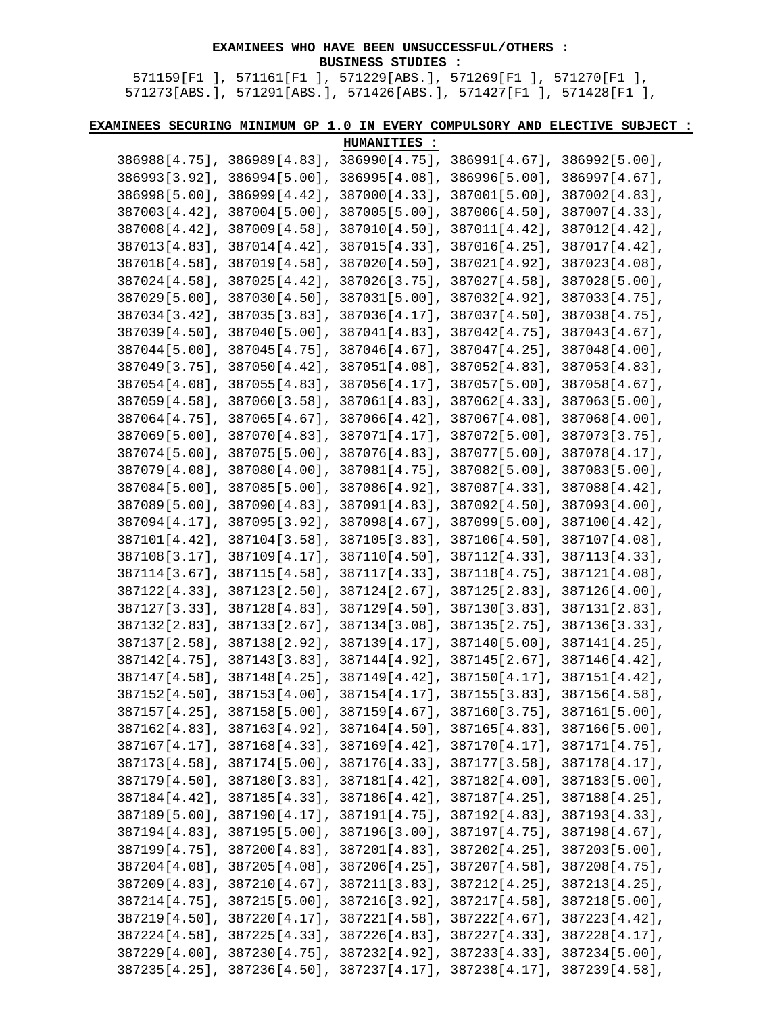## **EXAMINEES WHO HAVE BEEN UNSUCCESSFUL/OTHERS : BUSINESS STUDIES :**

571159[F1 ], 571161[F1 ], 571229[ABS.], 571269[F1 ], 571270[F1 ], 571273[ABS.], 571291[ABS.], 571426[ABS.], 571427[F1 ], 571428[F1 ],

**EXAMINEES SECURING MINIMUM GP 1.0 IN EVERY COMPULSORY AND ELECTIVE SUBJECT :** 

|                                                                                      | HUMANITIES : |  |
|--------------------------------------------------------------------------------------|--------------|--|
| $386988[4.75]$ , $386989[4.83]$ , $386990[4.75]$ , $386991[4.67]$ , $386992[5.00]$ , |              |  |
| 386993[3.92], 386994[5.00], 386995[4.08], 386996[5.00], 386997[4.67],                |              |  |
| $386998[5.00]$ , $386999[4.42]$ , $387000[4.33]$ , $387001[5.00]$ , $387002[4.83]$ , |              |  |
| 387003[4.42], 387004[5.00], 387005[5.00], 387006[4.50], 387007[4.33],                |              |  |
| $387008[4.42], 387009[4.58], 387010[4.50], 387011[4.42], 387012[4.42],$              |              |  |
| 387013[4.83], 387014[4.42], 387015[4.33], 387016[4.25], 387017[4.42],                |              |  |
| 387018[4.58], 387019[4.58], 387020[4.50], 387021[4.92], 387023[4.08],                |              |  |
| 387024[4.58], 387025[4.42], 387026[3.75], 387027[4.58], 387028[5.00],                |              |  |
| $387029[5.00]$ , $387030[4.50]$ , $387031[5.00]$ , $387032[4.92]$ , $387033[4.75]$ , |              |  |
| 387034[3.42], 387035[3.83], 387036[4.17], 387037[4.50], 387038[4.75],                |              |  |
| $387039[4.50]$ , $387040[5.00]$ , $387041[4.83]$ , $387042[4.75]$ , $387043[4.67]$ , |              |  |
| 387044[5.00], 387045[4.75], 387046[4.67], 387047[4.25], 387048[4.00],                |              |  |
| 387049[3.75], 387050[4.42], 387051[4.08], 387052[4.83], 387053[4.83],                |              |  |
| 387054[4.08], 387055[4.83], 387056[4.17], 387057[5.00], 387058[4.67],                |              |  |
| $387059[4.58]$ , $387060[3.58]$ , $387061[4.83]$ , $387062[4.33]$ , $387063[5.00]$ , |              |  |
| $387064[4.75]$ , $387065[4.67]$ , $387066[4.42]$ , $387067[4.08]$ , $387068[4.00]$ , |              |  |
| 387069[5.00], 387070[4.83], 387071[4.17], 387072[5.00], 387073[3.75],                |              |  |
| 387074[5.00], 387075[5.00], 387076[4.83], 387077[5.00], 387078[4.17],                |              |  |
| 387079[4.08], 387080[4.00], 387081[4.75], 387082[5.00], 387083[5.00],                |              |  |
| 387084[5.00], 387085[5.00], 387086[4.92], 387087[4.33], 387088[4.42],                |              |  |
| 387089[5.00], 387090[4.83], 387091[4.83], 387092[4.50], 387093[4.00],                |              |  |
| 387094[4.17], 387095[3.92], 387098[4.67], 387099[5.00], 387100[4.42],                |              |  |
| 387101[4.42], 387104[3.58], 387105[3.83], 387106[4.50], 387107[4.08],                |              |  |
| $387108[3.17]$ , $387109[4.17]$ , $387110[4.50]$ , $387112[4.33]$ , $387113[4.33]$ , |              |  |
| $387114[3.67]$ , $387115[4.58]$ , $387117[4.33]$ , $387118[4.75]$ , $387121[4.08]$ , |              |  |
| 387122[4.33], 387123[2.50], 387124[2.67], 387125[2.83], 387126[4.00],                |              |  |
| $387127[3.33]$ , $387128[4.83]$ , $387129[4.50]$ , $387130[3.83]$ , $387131[2.83]$ , |              |  |
| 387132[2.83], 387133[2.67], 387134[3.08], 387135[2.75], 387136[3.33],                |              |  |
| 387137[2.58], 387138[2.92], 387139[4.17], 387140[5.00], 387141[4.25],                |              |  |
| $387142[4.75]$ , $387143[3.83]$ , $387144[4.92]$ , $387145[2.67]$ , $387146[4.42]$   |              |  |
| $387147[4.58]$ , $387148[4.25]$ , $387149[4.42]$ , $387150[4.17]$ , $387151[4.42]$ , |              |  |
| $387152[4.50]$ , $387153[4.00]$ , $387154[4.17]$ , $387155[3.83]$ , $387156[4.58]$ , |              |  |
| 387157[4.25], 387158[5.00], 387159[4.67], 387160[3.75], 387161[5.00],                |              |  |
| 387162[4.83], 387163[4.92], 387164[4.50], 387165[4.83], 387166[5.00],                |              |  |
| $387167[4.17]$ , $387168[4.33]$ , $387169[4.42]$ , $387170[4.17]$ , $387171[4.75]$ , |              |  |
| 387173[4.58], 387174[5.00], 387176[4.33], 387177[3.58], 387178[4.17],                |              |  |
| 387179[4.50], 387180[3.83], 387181[4.42], 387182[4.00], 387183[5.00],                |              |  |
| 387184[4.42], 387185[4.33], 387186[4.42], 387187[4.25], 387188[4.25],                |              |  |
| $387189[5.00]$ , $387190[4.17]$ , $387191[4.75]$ , $387192[4.83]$ , $387193[4.33]$ , |              |  |
| 387194[4.83], 387195[5.00], 387196[3.00], 387197[4.75], 387198[4.67],                |              |  |
| 387199[4.75], 387200[4.83], 387201[4.83], 387202[4.25], 387203[5.00],                |              |  |
| 387204[4.08], 387205[4.08], 387206[4.25], 387207[4.58], 387208[4.75],                |              |  |
| $387209[4.83], 387210[4.67], 387211[3.83], 387212[4.25], 387213[4.25],$              |              |  |
| $387214[4.75]$ , $387215[5.00]$ , $387216[3.92]$ , $387217[4.58]$ , $387218[5.00]$ , |              |  |
| 387219[4.50], 387220[4.17], 387221[4.58], 387222[4.67], 387223[4.42],                |              |  |
| 387224[4.58], 387225[4.33], 387226[4.83], 387227[4.33], 387228[4.17],                |              |  |
| $387229[4.00], 387230[4.75], 387232[4.92], 387233[4.33], 387234[5.00],$              |              |  |
| $387235[4.25]$ , $387236[4.50]$ , $387237[4.17]$ , $387238[4.17]$ , $387239[4.58]$ , |              |  |